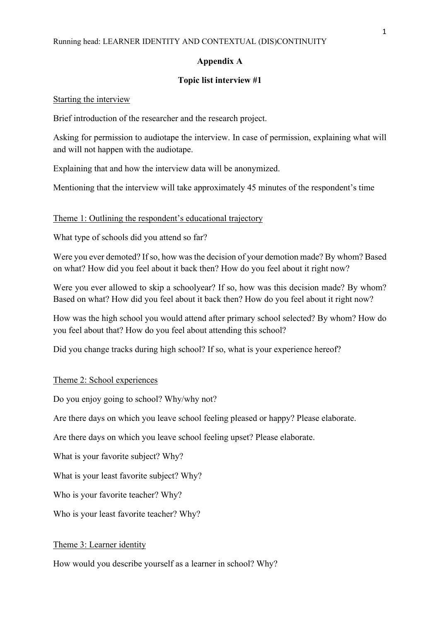### **Appendix A**

# **Topic list interview #1**

Starting the interview

Brief introduction of the researcher and the research project.

Asking for permission to audiotape the interview. In case of permission, explaining what will and will not happen with the audiotape.

Explaining that and how the interview data will be anonymized.

Mentioning that the interview will take approximately 45 minutes of the respondent's time

Theme 1: Outlining the respondent's educational trajectory

What type of schools did you attend so far?

Were you ever demoted? If so, how was the decision of your demotion made? By whom? Based on what? How did you feel about it back then? How do you feel about it right now?

Were you ever allowed to skip a schoolyear? If so, how was this decision made? By whom? Based on what? How did you feel about it back then? How do you feel about it right now?

How was the high school you would attend after primary school selected? By whom? How do you feel about that? How do you feel about attending this school?

Did you change tracks during high school? If so, what is your experience hereof?

### Theme 2: School experiences

Do you enjoy going to school? Why/why not?

Are there days on which you leave school feeling pleased or happy? Please elaborate.

Are there days on which you leave school feeling upset? Please elaborate.

What is your favorite subject? Why?

What is your least favorite subject? Why?

Who is your favorite teacher? Why?

Who is your least favorite teacher? Why?

#### Theme 3: Learner identity

How would you describe yourself as a learner in school? Why?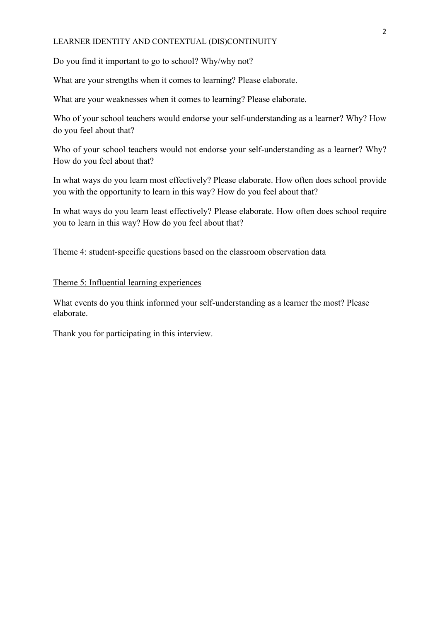# LEARNER IDENTITY AND CONTEXTUAL (DIS)CONTINUITY

Do you find it important to go to school? Why/why not?

What are your strengths when it comes to learning? Please elaborate.

What are your weaknesses when it comes to learning? Please elaborate.

Who of your school teachers would endorse your self-understanding as a learner? Why? How do you feel about that?

Who of your school teachers would not endorse your self-understanding as a learner? Why? How do you feel about that?

In what ways do you learn most effectively? Please elaborate. How often does school provide you with the opportunity to learn in this way? How do you feel about that?

In what ways do you learn least effectively? Please elaborate. How often does school require you to learn in this way? How do you feel about that?

# Theme 4: student-specific questions based on the classroom observation data

Theme 5: Influential learning experiences

What events do you think informed your self-understanding as a learner the most? Please elaborate.

Thank you for participating in this interview.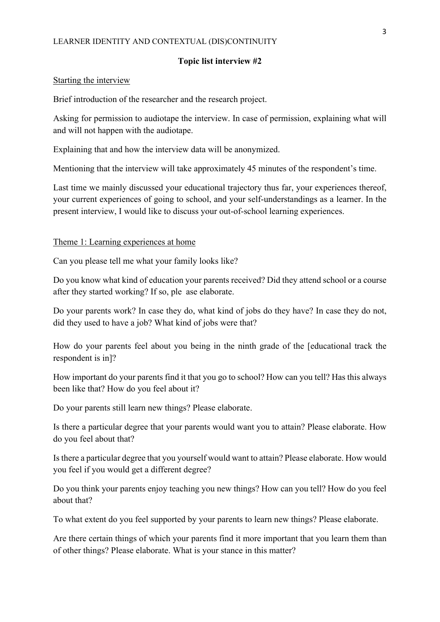# **Topic list interview #2**

#### Starting the interview

Brief introduction of the researcher and the research project.

Asking for permission to audiotape the interview. In case of permission, explaining what will and will not happen with the audiotape.

Explaining that and how the interview data will be anonymized.

Mentioning that the interview will take approximately 45 minutes of the respondent's time.

Last time we mainly discussed your educational trajectory thus far, your experiences thereof, your current experiences of going to school, and your self-understandings as a learner. In the present interview, I would like to discuss your out-of-school learning experiences.

#### Theme 1: Learning experiences at home

Can you please tell me what your family looks like?

Do you know what kind of education your parents received? Did they attend school or a course after they started working? If so, ple ase elaborate.

Do your parents work? In case they do, what kind of jobs do they have? In case they do not, did they used to have a job? What kind of jobs were that?

How do your parents feel about you being in the ninth grade of the [educational track the respondent is in]?

How important do your parents find it that you go to school? How can you tell? Has this always been like that? How do you feel about it?

Do your parents still learn new things? Please elaborate.

Is there a particular degree that your parents would want you to attain? Please elaborate. How do you feel about that?

Is there a particular degree that you yourself would want to attain? Please elaborate. How would you feel if you would get a different degree?

Do you think your parents enjoy teaching you new things? How can you tell? How do you feel about that?

To what extent do you feel supported by your parents to learn new things? Please elaborate.

Are there certain things of which your parents find it more important that you learn them than of other things? Please elaborate. What is your stance in this matter?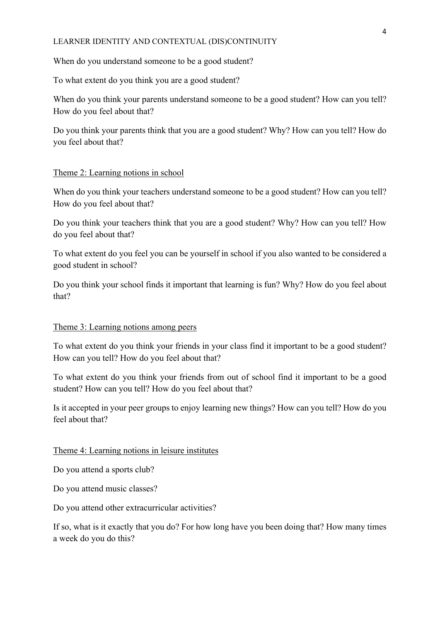## LEARNER IDENTITY AND CONTEXTUAL (DIS)CONTINUITY

When do you understand someone to be a good student?

To what extent do you think you are a good student?

When do you think your parents understand someone to be a good student? How can you tell? How do you feel about that?

Do you think your parents think that you are a good student? Why? How can you tell? How do you feel about that?

# Theme 2: Learning notions in school

When do you think your teachers understand someone to be a good student? How can you tell? How do you feel about that?

Do you think your teachers think that you are a good student? Why? How can you tell? How do you feel about that?

To what extent do you feel you can be yourself in school if you also wanted to be considered a good student in school?

Do you think your school finds it important that learning is fun? Why? How do you feel about that?

# Theme 3: Learning notions among peers

To what extent do you think your friends in your class find it important to be a good student? How can you tell? How do you feel about that?

To what extent do you think your friends from out of school find it important to be a good student? How can you tell? How do you feel about that?

Is it accepted in your peer groups to enjoy learning new things? How can you tell? How do you feel about that?

### Theme 4: Learning notions in leisure institutes

Do you attend a sports club?

Do you attend music classes?

Do you attend other extracurricular activities?

If so, what is it exactly that you do? For how long have you been doing that? How many times a week do you do this?